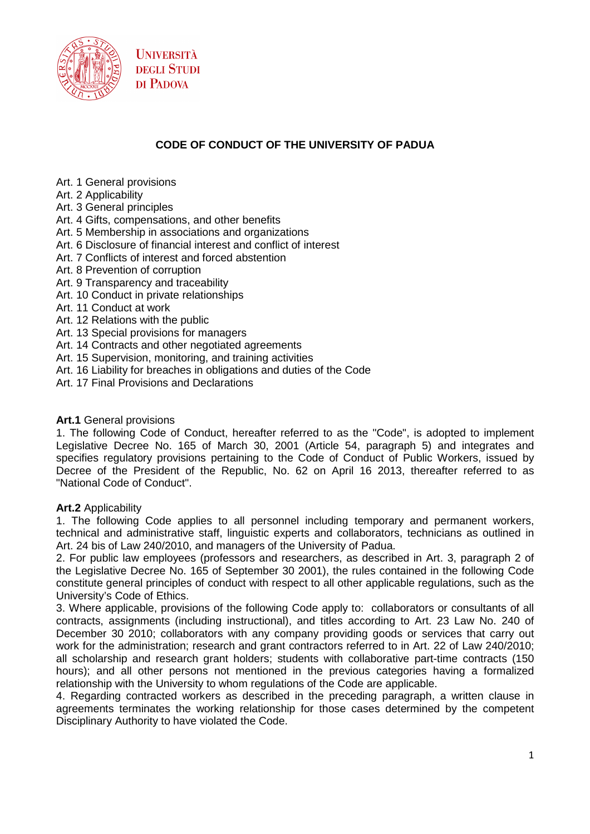

## **CODE OF CONDUCT OF THE UNIVERSITY OF PADUA**

- Art. 1 General provisions
- Art. 2 Applicability
- Art. 3 General principles
- Art. 4 Gifts, compensations, and other benefits
- Art. 5 Membership in associations and organizations
- Art. 6 Disclosure of financial interest and conflict of interest
- Art. 7 Conflicts of interest and forced abstention
- Art. 8 Prevention of corruption
- Art. 9 Transparency and traceability
- Art. 10 Conduct in private relationships
- Art. 11 Conduct at work
- Art. 12 Relations with the public
- Art. 13 Special provisions for managers
- Art. 14 Contracts and other negotiated agreements
- Art. 15 Supervision, monitoring, and training activities
- Art. 16 Liability for breaches in obligations and duties of the Code
- Art. 17 Final Provisions and Declarations

#### **Art.1** General provisions

1. The following Code of Conduct, hereafter referred to as the "Code", is adopted to implement Legislative Decree No. 165 of March 30, 2001 (Article 54, paragraph 5) and integrates and specifies regulatory provisions pertaining to the Code of Conduct of Public Workers, issued by Decree of the President of the Republic, No. 62 on April 16 2013, thereafter referred to as "National Code of Conduct".

#### **Art.2** Applicability

1. The following Code applies to all personnel including temporary and permanent workers, technical and administrative staff, linguistic experts and collaborators, technicians as outlined in Art. 24 bis of Law 240/2010, and managers of the University of Padua.

2. For public law employees (professors and researchers, as described in Art. 3, paragraph 2 of the Legislative Decree No. 165 of September 30 2001), the rules contained in the following Code constitute general principles of conduct with respect to all other applicable regulations, such as the University's Code of Ethics.

3. Where applicable, provisions of the following Code apply to: collaborators or consultants of all contracts, assignments (including instructional), and titles according to Art. 23 Law No. 240 of December 30 2010; collaborators with any company providing goods or services that carry out work for the administration; research and grant contractors referred to in Art. 22 of Law 240/2010; all scholarship and research grant holders; students with collaborative part-time contracts (150 hours); and all other persons not mentioned in the previous categories having a formalized relationship with the University to whom regulations of the Code are applicable.

4. Regarding contracted workers as described in the preceding paragraph, a written clause in agreements terminates the working relationship for those cases determined by the competent Disciplinary Authority to have violated the Code.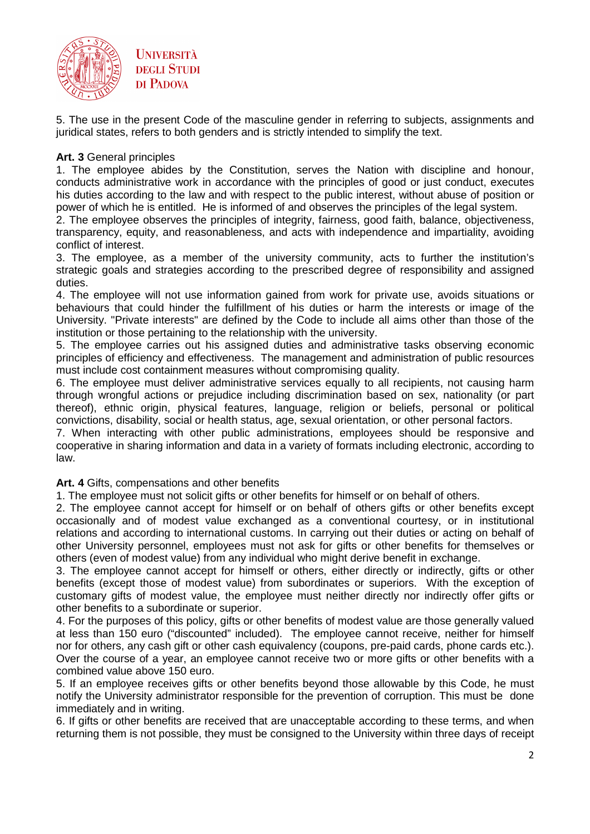

5. The use in the present Code of the masculine gender in referring to subjects, assignments and juridical states, refers to both genders and is strictly intended to simplify the text.

### **Art. 3** General principles

1. The employee abides by the Constitution, serves the Nation with discipline and honour, conducts administrative work in accordance with the principles of good or just conduct, executes his duties according to the law and with respect to the public interest, without abuse of position or power of which he is entitled. He is informed of and observes the principles of the legal system.

2. The employee observes the principles of integrity, fairness, good faith, balance, objectiveness, transparency, equity, and reasonableness, and acts with independence and impartiality, avoiding conflict of interest.

3. The employee, as a member of the university community, acts to further the institution's strategic goals and strategies according to the prescribed degree of responsibility and assigned duties.

4. The employee will not use information gained from work for private use, avoids situations or behaviours that could hinder the fulfillment of his duties or harm the interests or image of the University. "Private interests" are defined by the Code to include all aims other than those of the institution or those pertaining to the relationship with the university.

5. The employee carries out his assigned duties and administrative tasks observing economic principles of efficiency and effectiveness. The management and administration of public resources must include cost containment measures without compromising quality.

6. The employee must deliver administrative services equally to all recipients, not causing harm through wrongful actions or prejudice including discrimination based on sex, nationality (or part thereof), ethnic origin, physical features, language, religion or beliefs, personal or political convictions, disability, social or health status, age, sexual orientation, or other personal factors.

7. When interacting with other public administrations, employees should be responsive and cooperative in sharing information and data in a variety of formats including electronic, according to law.

#### **Art. 4** Gifts, compensations and other benefits

1. The employee must not solicit gifts or other benefits for himself or on behalf of others.

2. The employee cannot accept for himself or on behalf of others gifts or other benefits except occasionally and of modest value exchanged as a conventional courtesy, or in institutional relations and according to international customs. In carrying out their duties or acting on behalf of other University personnel, employees must not ask for gifts or other benefits for themselves or others (even of modest value) from any individual who might derive benefit in exchange.

3. The employee cannot accept for himself or others, either directly or indirectly, gifts or other benefits (except those of modest value) from subordinates or superiors. With the exception of customary gifts of modest value, the employee must neither directly nor indirectly offer gifts or other benefits to a subordinate or superior.

4. For the purposes of this policy, gifts or other benefits of modest value are those generally valued at less than 150 euro ("discounted" included). The employee cannot receive, neither for himself nor for others, any cash gift or other cash equivalency (coupons, pre-paid cards, phone cards etc.). Over the course of a year, an employee cannot receive two or more gifts or other benefits with a combined value above 150 euro.

5. If an employee receives gifts or other benefits beyond those allowable by this Code, he must notify the University administrator responsible for the prevention of corruption. This must be done immediately and in writing.

6. If gifts or other benefits are received that are unacceptable according to these terms, and when returning them is not possible, they must be consigned to the University within three days of receipt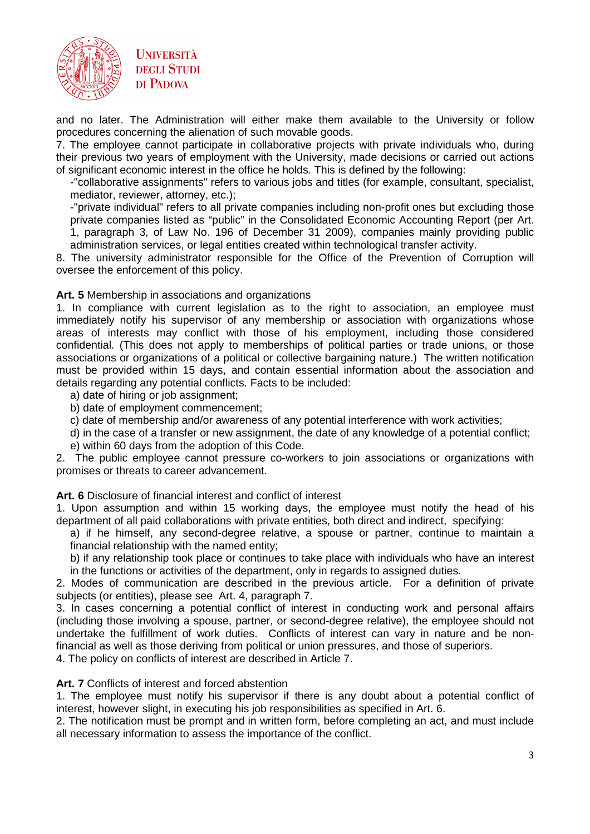

and no later. The Administration will either make them available to the University or follow procedures concerning the alienation of such movable goods.

7. The employee cannot participate in collaborative projects with private individuals who, during their previous two years of employment with the University, made decisions or carried out actions of significant economic interest in the office he holds. This is defined by the following:

-"collaborative assignments" refers to various jobs and titles (for example, consultant, specialist, mediator, reviewer, attorney, etc.);

-"private individual" refers to all private companies including non-profit ones but excluding those private companies listed as "public" in the Consolidated Economic Accounting Report (per Art. 1, paragraph 3, of Law No. 196 of December 31 2009), companies mainly providing public

administration services, or legal entities created within technological transfer activity.

8. The university administrator responsible for the Office of the Prevention of Corruption will oversee the enforcement of this policy.

#### **Art. 5** Membership in associations and organizations

1. In compliance with current legislation as to the right to association, an employee must immediately notify his supervisor of any membership or association with organizations whose areas of interests may conflict with those of his employment, including those considered confidential. (This does not apply to memberships of political parties or trade unions, or those associations or organizations of a political or collective bargaining nature.) The written notification must be provided within 15 days, and contain essential information about the association and details regarding any potential conflicts. Facts to be included:

- a) date of hiring or job assignment;
- b) date of employment commencement;
- c) date of membership and/or awareness of any potential interference with work activities;
- d) in the case of a transfer or new assignment, the date of any knowledge of a potential conflict;
- e) within 60 days from the adoption of this Code.

2. The public employee cannot pressure co-workers to join associations or organizations with promises or threats to career advancement.

#### **Art. 6** Disclosure of financial interest and conflict of interest

1. Upon assumption and within 15 working days, the employee must notify the head of his department of all paid collaborations with private entities, both direct and indirect, specifying:

a) if he himself, any second-degree relative, a spouse or partner, continue to maintain a financial relationship with the named entity;

b) if any relationship took place or continues to take place with individuals who have an interest in the functions or activities of the department, only in regards to assigned duties.

2. Modes of communication are described in the previous article. For a definition of private subjects (or entities), please see Art. 4, paragraph 7.

3. In cases concerning a potential conflict of interest in conducting work and personal affairs (including those involving a spouse, partner, or second-degree relative), the employee should not undertake the fulfillment of work duties. Conflicts of interest can vary in nature and be nonfinancial as well as those deriving from political or union pressures, and those of superiors.

4. The policy on conflicts of interest are described in Article 7.

#### **Art. 7** Conflicts of interest and forced abstention

1. The employee must notify his supervisor if there is any doubt about a potential conflict of interest, however slight, in executing his job responsibilities as specified in Art. 6.

2. The notification must be prompt and in written form, before completing an act, and must include all necessary information to assess the importance of the conflict.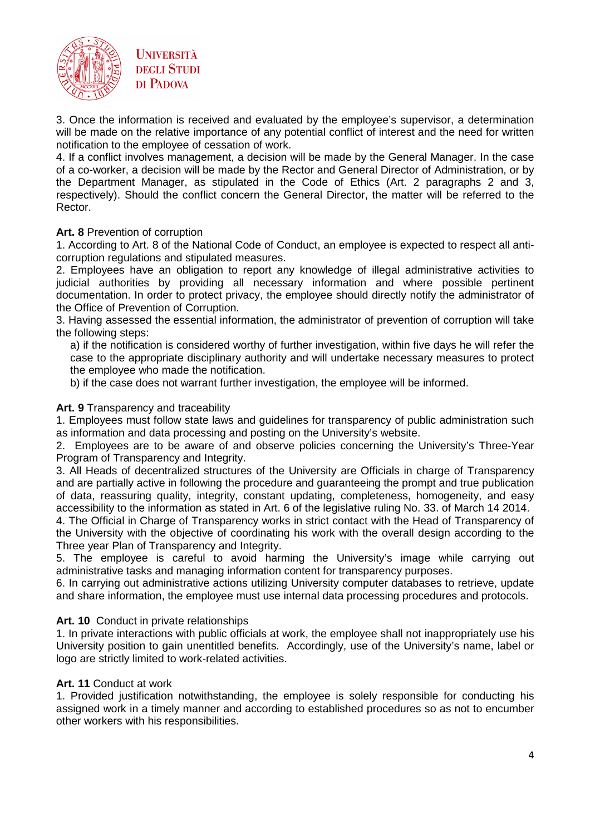



3. Once the information is received and evaluated by the employee's supervisor, a determination will be made on the relative importance of any potential conflict of interest and the need for written notification to the employee of cessation of work.

4. If a conflict involves management, a decision will be made by the General Manager. In the case of a co-worker, a decision will be made by the Rector and General Director of Administration, or by the Department Manager, as stipulated in the Code of Ethics (Art. 2 paragraphs 2 and 3, respectively). Should the conflict concern the General Director, the matter will be referred to the Rector.

#### **Art. 8** Prevention of corruption

1. According to Art. 8 of the National Code of Conduct, an employee is expected to respect all anticorruption regulations and stipulated measures.

2. Employees have an obligation to report any knowledge of illegal administrative activities to judicial authorities by providing all necessary information and where possible pertinent documentation. In order to protect privacy, the employee should directly notify the administrator of the Office of Prevention of Corruption.

3. Having assessed the essential information, the administrator of prevention of corruption will take the following steps:

a) if the notification is considered worthy of further investigation, within five days he will refer the case to the appropriate disciplinary authority and will undertake necessary measures to protect the employee who made the notification.

b) if the case does not warrant further investigation, the employee will be informed.

#### **Art. 9** Transparency and traceability

1. Employees must follow state laws and guidelines for transparency of public administration such as information and data processing and posting on the University's website.

2. Employees are to be aware of and observe policies concerning the University's Three-Year Program of Transparency and Integrity.

3. All Heads of decentralized structures of the University are Officials in charge of Transparency and are partially active in following the procedure and guaranteeing the prompt and true publication of data, reassuring quality, integrity, constant updating, completeness, homogeneity, and easy accessibility to the information as stated in Art. 6 of the legislative ruling No. 33. of March 14 2014.

4. The Official in Charge of Transparency works in strict contact with the Head of Transparency of the University with the objective of coordinating his work with the overall design according to the Three year Plan of Transparency and Integrity.

5. The employee is careful to avoid harming the University's image while carrying out administrative tasks and managing information content for transparency purposes.

6. In carrying out administrative actions utilizing University computer databases to retrieve, update and share information, the employee must use internal data processing procedures and protocols.

#### **Art. 10** Conduct in private relationships

1. In private interactions with public officials at work, the employee shall not inappropriately use his University position to gain unentitled benefits. Accordingly, use of the University's name, label or logo are strictly limited to work-related activities.

### **Art. 11** Conduct at work

1. Provided justification notwithstanding, the employee is solely responsible for conducting his assigned work in a timely manner and according to established procedures so as not to encumber other workers with his responsibilities.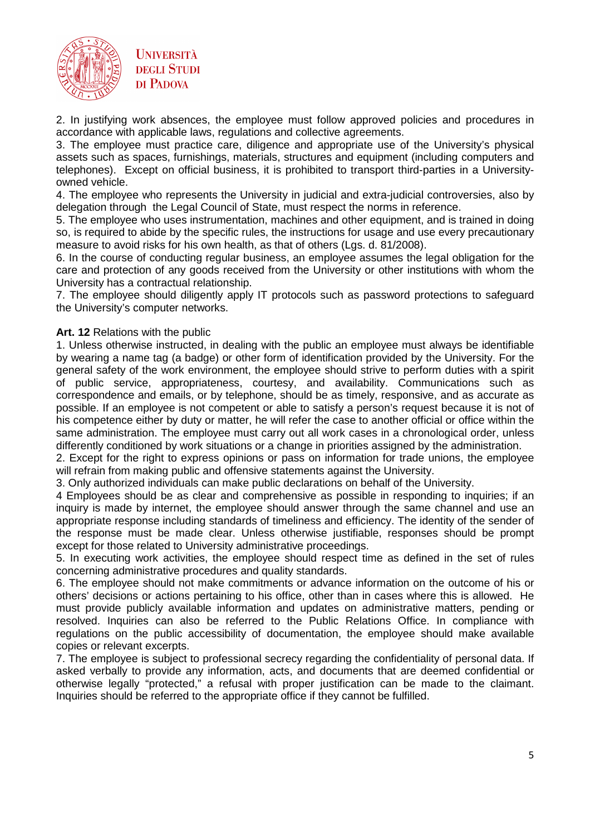

2. In justifying work absences, the employee must follow approved policies and procedures in accordance with applicable laws, regulations and collective agreements.

3. The employee must practice care, diligence and appropriate use of the University's physical assets such as spaces, furnishings, materials, structures and equipment (including computers and telephones). Except on official business, it is prohibited to transport third-parties in a Universityowned vehicle.

4. The employee who represents the University in judicial and extra-judicial controversies, also by delegation through the Legal Council of State, must respect the norms in reference.

5. The employee who uses instrumentation, machines and other equipment, and is trained in doing so, is required to abide by the specific rules, the instructions for usage and use every precautionary measure to avoid risks for his own health, as that of others (Lgs. d. 81/2008).

6. In the course of conducting regular business, an employee assumes the legal obligation for the care and protection of any goods received from the University or other institutions with whom the University has a contractual relationship.

7. The employee should diligently apply IT protocols such as password protections to safeguard the University's computer networks.

### **Art. 12** Relations with the public

1. Unless otherwise instructed, in dealing with the public an employee must always be identifiable by wearing a name tag (a badge) or other form of identification provided by the University. For the general safety of the work environment, the employee should strive to perform duties with a spirit of public service, appropriateness, courtesy, and availability. Communications such as correspondence and emails, or by telephone, should be as timely, responsive, and as accurate as possible. If an employee is not competent or able to satisfy a person's request because it is not of his competence either by duty or matter, he will refer the case to another official or office within the same administration. The employee must carry out all work cases in a chronological order, unless differently conditioned by work situations or a change in priorities assigned by the administration.

2. Except for the right to express opinions or pass on information for trade unions, the employee will refrain from making public and offensive statements against the University.

3. Only authorized individuals can make public declarations on behalf of the University.

4 Employees should be as clear and comprehensive as possible in responding to inquiries; if an inquiry is made by internet, the employee should answer through the same channel and use an appropriate response including standards of timeliness and efficiency. The identity of the sender of the response must be made clear. Unless otherwise justifiable, responses should be prompt except for those related to University administrative proceedings.

5. In executing work activities, the employee should respect time as defined in the set of rules concerning administrative procedures and quality standards.

6. The employee should not make commitments or advance information on the outcome of his or others' decisions or actions pertaining to his office, other than in cases where this is allowed. He must provide publicly available information and updates on administrative matters, pending or resolved. Inquiries can also be referred to the Public Relations Office. In compliance with regulations on the public accessibility of documentation, the employee should make available copies or relevant excerpts.

7. The employee is subject to professional secrecy regarding the confidentiality of personal data. If asked verbally to provide any information, acts, and documents that are deemed confidential or otherwise legally "protected," a refusal with proper justification can be made to the claimant. Inquiries should be referred to the appropriate office if they cannot be fulfilled.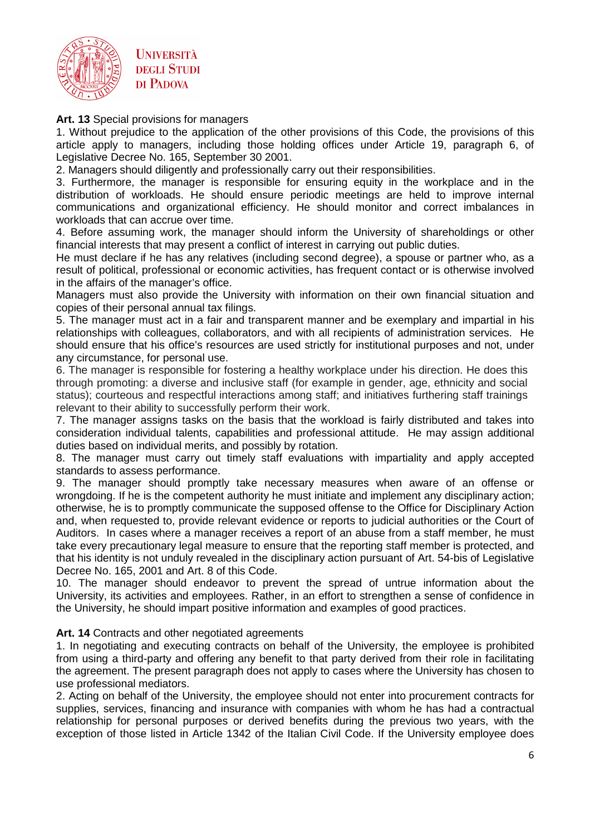



**Art. 13** Special provisions for managers

1. Without prejudice to the application of the other provisions of this Code, the provisions of this article apply to managers, including those holding offices under Article 19, paragraph 6, of Legislative Decree No. 165, September 30 2001.

2. Managers should diligently and professionally carry out their responsibilities.

3. Furthermore, the manager is responsible for ensuring equity in the workplace and in the distribution of workloads. He should ensure periodic meetings are held to improve internal communications and organizational efficiency. He should monitor and correct imbalances in workloads that can accrue over time.

4. Before assuming work, the manager should inform the University of shareholdings or other financial interests that may present a conflict of interest in carrying out public duties.

He must declare if he has any relatives (including second degree), a spouse or partner who, as a result of political, professional or economic activities, has frequent contact or is otherwise involved in the affairs of the manager's office.

Managers must also provide the University with information on their own financial situation and copies of their personal annual tax filings.

5. The manager must act in a fair and transparent manner and be exemplary and impartial in his relationships with colleagues, collaborators, and with all recipients of administration services. He should ensure that his office's resources are used strictly for institutional purposes and not, under any circumstance, for personal use.

6. The manager is responsible for fostering a healthy workplace under his direction. He does this through promoting: a diverse and inclusive staff (for example in gender, age, ethnicity and social status); courteous and respectful interactions among staff; and initiatives furthering staff trainings relevant to their ability to successfully perform their work.

7. The manager assigns tasks on the basis that the workload is fairly distributed and takes into consideration individual talents, capabilities and professional attitude. He may assign additional duties based on individual merits, and possibly by rotation.

8. The manager must carry out timely staff evaluations with impartiality and apply accepted standards to assess performance.

9. The manager should promptly take necessary measures when aware of an offense or wrongdoing. If he is the competent authority he must initiate and implement any disciplinary action; otherwise, he is to promptly communicate the supposed offense to the Office for Disciplinary Action and, when requested to, provide relevant evidence or reports to judicial authorities or the Court of Auditors. In cases where a manager receives a report of an abuse from a staff member, he must take every precautionary legal measure to ensure that the reporting staff member is protected, and that his identity is not unduly revealed in the disciplinary action pursuant of Art. 54-bis of Legislative Decree No. 165, 2001 and Art. 8 of this Code.

10. The manager should endeavor to prevent the spread of untrue information about the University, its activities and employees. Rather, in an effort to strengthen a sense of confidence in the University, he should impart positive information and examples of good practices.

#### Art. 14 Contracts and other negotiated agreements

1. In negotiating and executing contracts on behalf of the University, the employee is prohibited from using a third-party and offering any benefit to that party derived from their role in facilitating the agreement. The present paragraph does not apply to cases where the University has chosen to use professional mediators.

2. Acting on behalf of the University, the employee should not enter into procurement contracts for supplies, services, financing and insurance with companies with whom he has had a contractual relationship for personal purposes or derived benefits during the previous two years, with the exception of those listed in Article 1342 of the Italian Civil Code. If the University employee does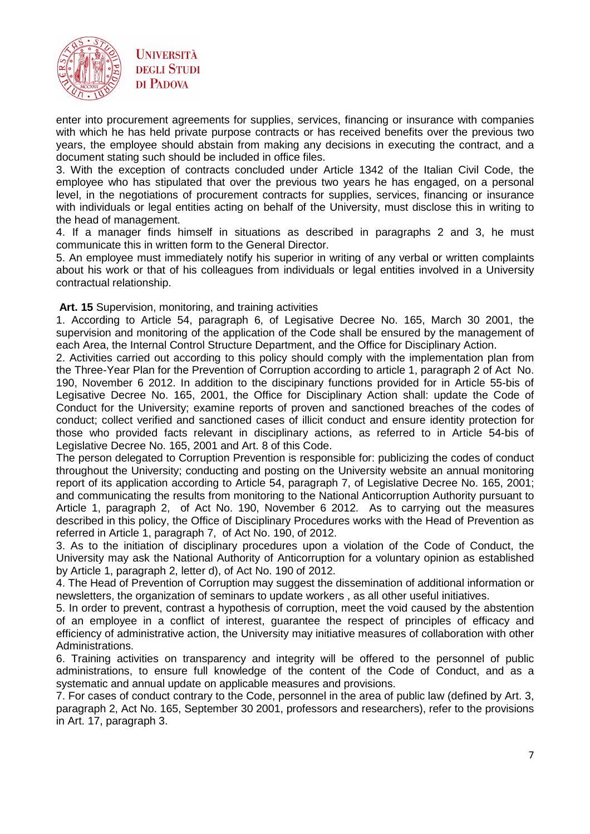



enter into procurement agreements for supplies, services, financing or insurance with companies with which he has held private purpose contracts or has received benefits over the previous two years, the employee should abstain from making any decisions in executing the contract, and a document stating such should be included in office files.

3. With the exception of contracts concluded under Article 1342 of the Italian Civil Code, the employee who has stipulated that over the previous two years he has engaged, on a personal level, in the negotiations of procurement contracts for supplies, services, financing or insurance with individuals or legal entities acting on behalf of the University, must disclose this in writing to the head of management.

4. If a manager finds himself in situations as described in paragraphs 2 and 3, he must communicate this in written form to the General Director.

5. An employee must immediately notify his superior in writing of any verbal or written complaints about his work or that of his colleagues from individuals or legal entities involved in a University contractual relationship.

#### **Art. 15** Supervision, monitoring, and training activities

1. According to Article 54, paragraph 6, of Legisative Decree No. 165, March 30 2001, the supervision and monitoring of the application of the Code shall be ensured by the management of each Area, the Internal Control Structure Department, and the Office for Disciplinary Action.

2. Activities carried out according to this policy should comply with the implementation plan from the Three-Year Plan for the Prevention of Corruption according to article 1, paragraph 2 of Act No. 190, November 6 2012. In addition to the discipinary functions provided for in Article 55-bis of Legisative Decree No. 165, 2001, the Office for Disciplinary Action shall: update the Code of Conduct for the University; examine reports of proven and sanctioned breaches of the codes of conduct; collect verified and sanctioned cases of illicit conduct and ensure identity protection for those who provided facts relevant in disciplinary actions, as referred to in Article 54-bis of Legislative Decree No. 165, 2001 and Art. 8 of this Code.

The person delegated to Corruption Prevention is responsible for: publicizing the codes of conduct throughout the University; conducting and posting on the University website an annual monitoring report of its application according to Article 54, paragraph 7, of Legislative Decree No. 165, 2001; and communicating the results from monitoring to the National Anticorruption Authority pursuant to Article 1, paragraph 2, of Act No. 190, November 6 2012. As to carrying out the measures described in this policy, the Office of Disciplinary Procedures works with the Head of Prevention as referred in Article 1, paragraph 7, of Act No. 190, of 2012.

3. As to the initiation of disciplinary procedures upon a violation of the Code of Conduct, the University may ask the National Authority of Anticorruption for a voluntary opinion as established by Article 1, paragraph 2, letter d), of Act No. 190 of 2012.

4. The Head of Prevention of Corruption may suggest the dissemination of additional information or newsletters, the organization of seminars to update workers , as all other useful initiatives.

5. In order to prevent, contrast a hypothesis of corruption, meet the void caused by the abstention of an employee in a conflict of interest, guarantee the respect of principles of efficacy and efficiency of administrative action, the University may initiative measures of collaboration with other Administrations.

6. Training activities on transparency and integrity will be offered to the personnel of public administrations, to ensure full knowledge of the content of the Code of Conduct, and as a systematic and annual update on applicable measures and provisions.

7. For cases of conduct contrary to the Code, personnel in the area of public law (defined by Art. 3, paragraph 2, Act No. 165, September 30 2001, professors and researchers), refer to the provisions in Art. 17, paragraph 3.